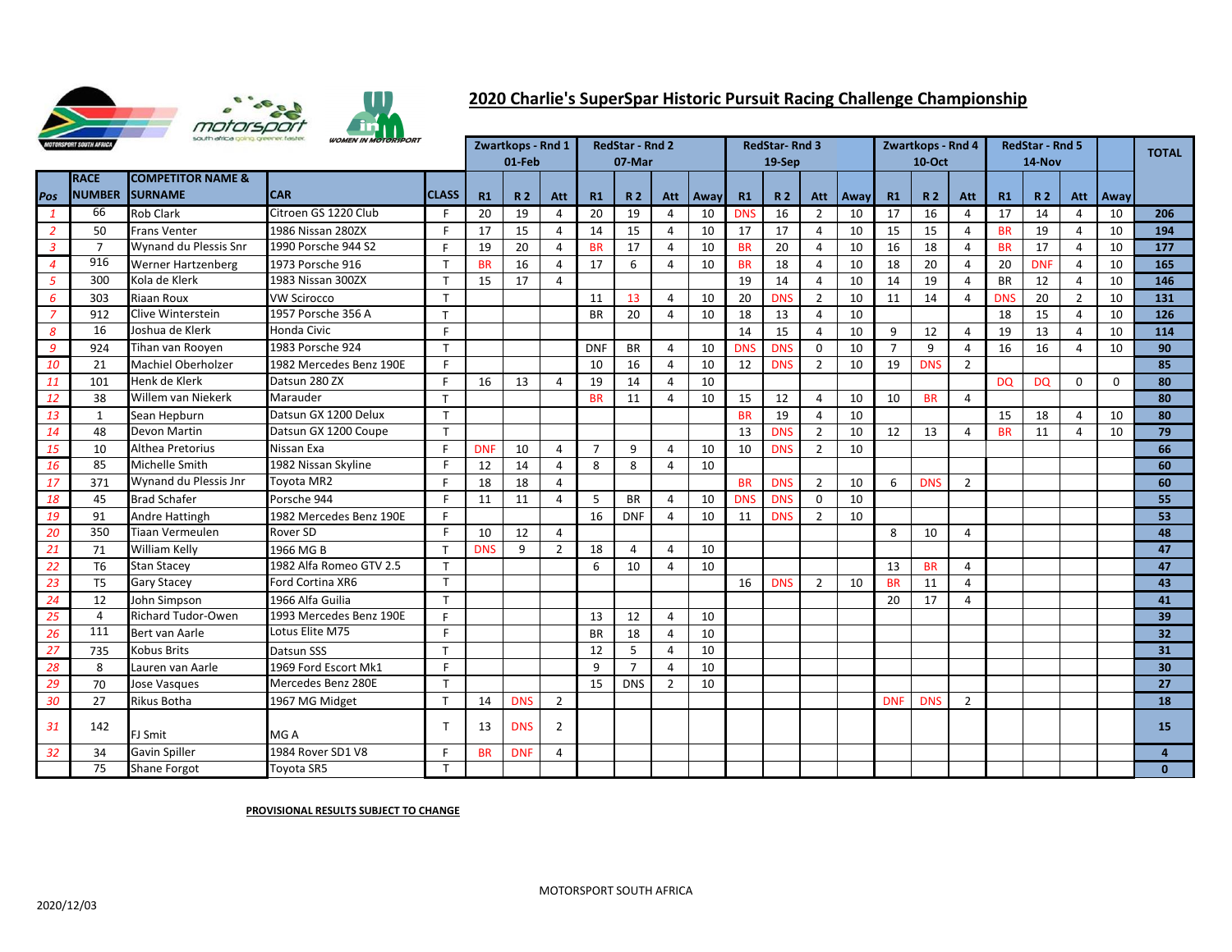

## **2020 Charlie's SuperSpar Historic Pursuit Racing Challenge Championship**

|                | <b>MOTORSPORT SOUTH AFRICA</b> | south africa going greener, faster,            | <b>WOMEN IN MOTORSPORT</b> |              |            | Zwartkops - Rnd 1 |                |                | <b>RedStar - Rnd 2</b> |                |      |            | <b>RedStar-Rnd 3</b> |                |      |                | Zwartkops - Rnd 4 |                | <b>RedStar - Rnd 5</b> |            |                |          | <b>TOTAL</b>     |
|----------------|--------------------------------|------------------------------------------------|----------------------------|--------------|------------|-------------------|----------------|----------------|------------------------|----------------|------|------------|----------------------|----------------|------|----------------|-------------------|----------------|------------------------|------------|----------------|----------|------------------|
|                |                                |                                                |                            |              |            | 01-Feb            |                |                | 07-Mar                 |                |      |            | 19-Sep               |                |      |                | <b>10-Oct</b>     |                |                        | 14-Nov     |                |          |                  |
| Pos            | <b>RACE</b><br><b>NUMBER</b>   | <b>COMPETITOR NAME &amp;</b><br><b>SURNAME</b> | <b>CAR</b>                 | <b>CLASS</b> | R1         | R <sub>2</sub>    | Att            | R1             | <b>R2</b>              | Att            | Away | R1         | <b>R2</b>            | Att            | Away | R1             | <b>R2</b>         | Att            | R1                     | <b>R2</b>  | Att            | Away     |                  |
|                | 66                             | Rob Clark                                      | Citroen GS 1220 Club       | -F           | 20         | 19                | 4              | 20             | 19                     | 4              | 10   | <b>DNS</b> | 16                   | 2              | 10   | 17             | 16                | 4              | 17                     | 14         | 4              | 10       | 206              |
| $\overline{2}$ | 50                             | Frans Venter                                   | 1986 Nissan 280ZX          | F            | 17         | 15                | Δ              | 14             | 15                     | 4              | 10   | 17         | 17                   | 4              | 10   | 15             | 15                | 4              | <b>BR</b>              | 19         | 4              | 10       | 194              |
| $\mathbf{3}$   | $\overline{7}$                 | Wynand du Plessis Snr                          | 1990 Porsche 944 S2        | F            | 19         | 20                | 4              | <b>BR</b>      | 17                     | $\overline{4}$ | 10   | <b>BR</b>  | 20                   | $\overline{4}$ | 10   | 16             | 18                | 4              | <b>BR</b>              | 17         | 4              | 10       | 177              |
| $\overline{4}$ | 916                            | <b>Werner Hartzenberg</b>                      | 1973 Porsche 916           | T            | <b>BR</b>  | 16                | 4              | 17             | 6                      | 4              | 10   | <b>BR</b>  | 18                   | 4              | 10   | 18             | 20                | $\overline{4}$ | 20                     | <b>DNF</b> | 4              | 10       | 165              |
| $\overline{5}$ | 300                            | Kola de Klerk                                  | 1983 Nissan 300ZX          | T            | 15         | 17                | 4              |                |                        |                |      | 19         | 14                   | 4              | 10   | 14             | 19                | $\overline{4}$ | <b>BR</b>              | 12         | 4              | 10       | 146              |
| $\epsilon$     | 303                            | <b>Riaan Roux</b>                              | <b>VW Scirocco</b>         | T            |            |                   |                | 11             | 13                     | $\overline{4}$ | 10   | 20         | <b>DNS</b>           | $\overline{2}$ | 10   | 11             | 14                | 4              | <b>DNS</b>             | 20         | $\overline{2}$ | 10       | $\overline{131}$ |
| $\overline{7}$ | 912                            | Clive Winterstein                              | 1957 Porsche 356 A         | T            |            |                   |                | <b>BR</b>      | 20                     | $\overline{a}$ | 10   | 18         | 13                   | 4              | 10   |                |                   |                | 18                     | 15         | 4              | 10       | 126              |
| 8              | 16                             | Joshua de Klerk                                | <b>Honda Civic</b>         | E            |            |                   |                |                |                        |                |      | 14         | 15                   | 4              | 10   | 9              | 12                | 4              | 19                     | 13         | 4              | 10       | 114              |
| 9              | 924                            | Tihan van Rooyen                               | 1983 Porsche 924           | T            |            |                   |                | <b>DNF</b>     | <b>BR</b>              | $\overline{4}$ | 10   | <b>DNS</b> | <b>DNS</b>           | $\mathbf 0$    | 10   | $\overline{7}$ | 9                 | $\overline{4}$ | 16                     | 16         | 4              | 10       | 90               |
| 10             | 21                             | Machiel Oberholzer                             | 1982 Mercedes Benz 190E    | F            |            |                   |                | 10             | 16                     | $\overline{4}$ | 10   | 12         | <b>DNS</b>           | $\overline{2}$ | 10   | 19             | <b>DNS</b>        | $\overline{2}$ |                        |            |                |          | 85               |
| 11             | 101                            | Henk de Klerk                                  | Datsun 280 ZX              | F            | 16         | 13                | Δ              | 19             | 14                     | 4              | 10   |            |                      |                |      |                |                   |                | <b>DQ</b>              | <b>DQ</b>  | $\Omega$       | $\Omega$ | 80               |
| 12             | 38                             | Willem van Niekerk                             | Marauder                   | T            |            |                   |                | <b>BR</b>      | 11                     | 4              | 10   | 15         | 12                   | 4              | 10   | 10             | <b>BR</b>         | 4              |                        |            |                |          | 80               |
| 13             | $\mathbf{1}$                   | Sean Hepburn                                   | Datsun GX 1200 Delux       | T            |            |                   |                |                |                        |                |      | <b>BR</b>  | 19                   | 4              | 10   |                |                   |                | 15                     | 18         | 4              | 10       | 80               |
| 14             | 48                             | Devon Martin                                   | Datsun GX 1200 Coupe       | T            |            |                   |                |                |                        |                |      | 13         | <b>DNS</b>           | $\overline{2}$ | 10   | 12             | 13                | $\overline{4}$ | <b>BR</b>              | 11         | 4              | 10       | 79               |
| 15             | 10                             | Althea Pretorius                               | Nissan Exa                 | F            | <b>DNF</b> | 10                | 4              | $\overline{7}$ | 9                      | $\overline{4}$ | 10   | 10         | <b>DNS</b>           | $\overline{2}$ | 10   |                |                   |                |                        |            |                |          | 66               |
| 16             | 85                             | Michelle Smith                                 | 1982 Nissan Skyline        | F            | 12         | 14                | 4              | 8              | 8                      | $\overline{4}$ | 10   |            |                      |                |      |                |                   |                |                        |            |                |          | 60               |
| 17             | 371                            | Wynand du Plessis Jnr                          | Toyota MR2                 | F            | 18         | 18                | 4              |                |                        |                |      | <b>BR</b>  | <b>DNS</b>           | $\overline{2}$ | 10   | 6              | <b>DNS</b>        | $\overline{2}$ |                        |            |                |          | 60               |
| 18             | 45                             | <b>Brad Schafer</b>                            | Porsche 944                | F            | 11         | 11                | 4              | 5              | <b>BR</b>              | 4              | 10   | <b>DNS</b> | <b>DNS</b>           | $\Omega$       | 10   |                |                   |                |                        |            |                |          | 55               |
| 19             | 91                             | Andre Hattingh                                 | 1982 Mercedes Benz 190E    | F            |            |                   |                | 16             | <b>DNF</b>             | $\overline{4}$ | 10   | 11         | <b>DNS</b>           | $\overline{2}$ | 10   |                |                   |                |                        |            |                |          | 53               |
| 20             | 350                            | Tiaan Vermeulen                                | Rover SD                   | F.           | 10         | 12                | 4              |                |                        |                |      |            |                      |                |      | 8              | 10                | 4              |                        |            |                |          | 48               |
| 21             | 71                             | William Kelly                                  | 1966 MG B                  | T            | <b>DNS</b> | 9                 | $\overline{2}$ | 18             | 4                      | 4              | 10   |            |                      |                |      |                |                   |                |                        |            |                |          | 47               |
| 22             | T <sub>6</sub>                 | <b>Stan Stacey</b>                             | 1982 Alfa Romeo GTV 2.5    | T            |            |                   |                | 6              | 10                     | $\overline{4}$ | 10   |            |                      |                |      | 13             | <b>BR</b>         | $\overline{4}$ |                        |            |                |          | 47               |
| 23             | T <sub>5</sub>                 | <b>Gary Stacey</b>                             | Ford Cortina XR6           | T            |            |                   |                |                |                        |                |      | 16         | <b>DNS</b>           | $\overline{2}$ | 10   | <b>BR</b>      | 11                | 4              |                        |            |                |          | 43               |
| 24             | 12                             | John Simpson                                   | 1966 Alfa Guilia           | T            |            |                   |                |                |                        |                |      |            |                      |                |      | 20             | 17                | 4              |                        |            |                |          | 41               |
| 25             | $\overline{4}$                 | <b>Richard Tudor-Owen</b>                      | 1993 Mercedes Benz 190E    | F            |            |                   |                | 13             | 12                     | $\overline{4}$ | 10   |            |                      |                |      |                |                   |                |                        |            |                |          | 39               |
| 26             | 111                            | Bert van Aarle                                 | Lotus Elite M75            | F            |            |                   |                | <b>BR</b>      | 18                     | $\overline{4}$ | 10   |            |                      |                |      |                |                   |                |                        |            |                |          | $\overline{32}$  |
| 27             | 735                            | <b>Kobus Brits</b>                             | Datsun SSS                 | T            |            |                   |                | 12             | 5                      | $\overline{4}$ | 10   |            |                      |                |      |                |                   |                |                        |            |                |          | 31               |
| 28             | 8                              | Lauren van Aarle                               | 1969 Ford Escort Mk1       | F            |            |                   |                | 9              | $\overline{7}$         | $\overline{4}$ | 10   |            |                      |                |      |                |                   |                |                        |            |                |          | 30 <sup>°</sup>  |
| 29             | 70                             | Jose Vasques                                   | Mercedes Benz 280E         | T            |            |                   |                | 15             | <b>DNS</b>             | $\overline{2}$ | 10   |            |                      |                |      |                |                   |                |                        |            |                |          | 27               |
| 30             | 27                             | Rikus Botha                                    | 1967 MG Midget             | T            | 14         | <b>DNS</b>        | $\overline{2}$ |                |                        |                |      |            |                      |                |      | <b>DNF</b>     | <b>DNS</b>        | $\overline{2}$ |                        |            |                |          | 18               |
| 31             | 142                            | FJ Smit                                        | MG A                       | $\mathsf{T}$ | 13         | <b>DNS</b>        | 2              |                |                        |                |      |            |                      |                |      |                |                   |                |                        |            |                |          | <b>15</b>        |
| 32             | 34                             | <b>Gavin Spiller</b>                           | 1984 Rover SD1 V8          | F.           | <b>BR</b>  | <b>DNF</b>        | 4              |                |                        |                |      |            |                      |                |      |                |                   |                |                        |            |                |          | 4                |
|                | 75                             | <b>Shane Forgot</b>                            | Toyota SR5                 | T            |            |                   |                |                |                        |                |      |            |                      |                |      |                |                   |                |                        |            |                |          | $\Omega$         |

## **PROVISIONAL RESULTS SUBJECT TO CHANGE**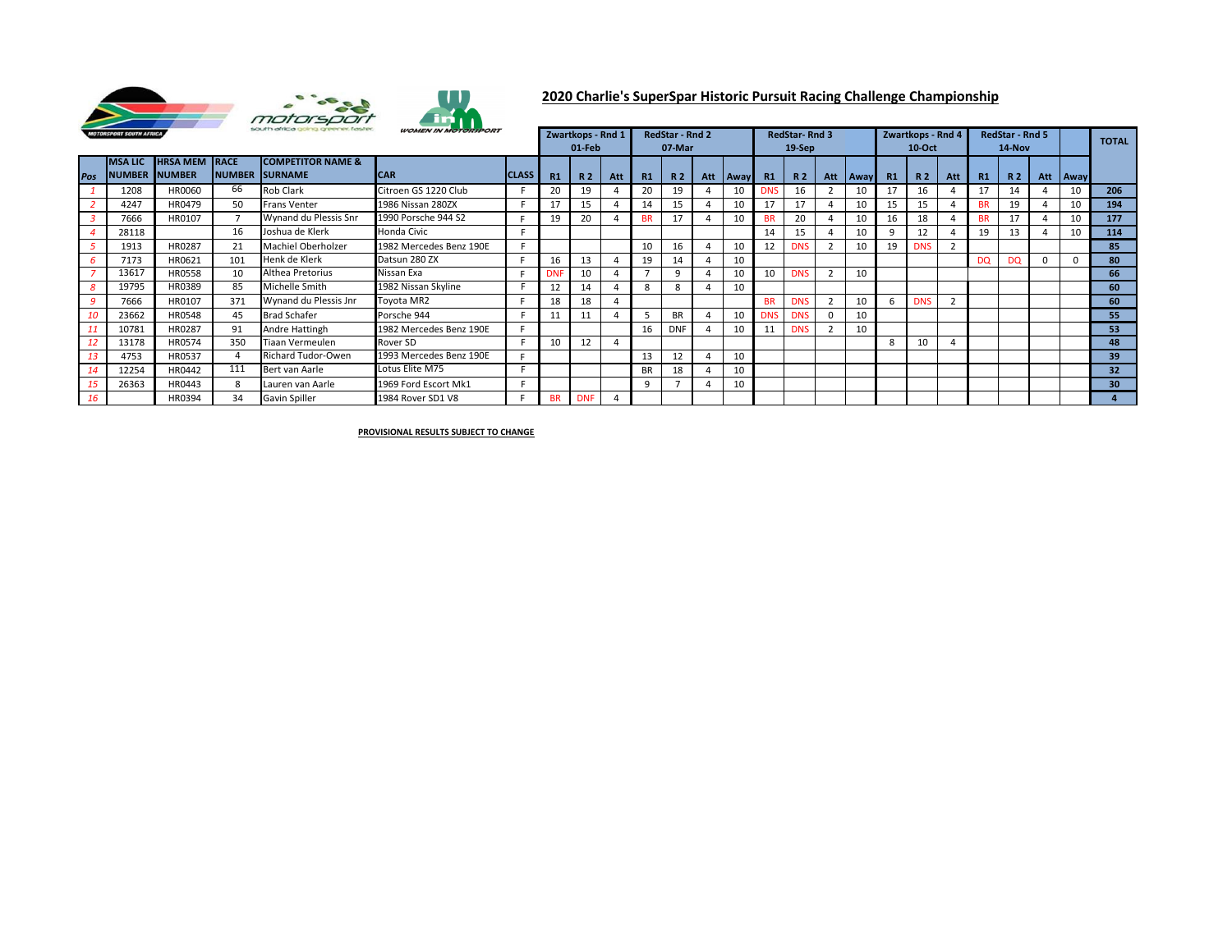

## **2020 Charlie's SuperSpar Historic Pursuit Racing Challenge Championship**

| <b>WOMEN IN MOTORSPORT</b><br>south africa going greener, faster.<br><b>MOTORSPORT SOUTH AFRICA</b> |               |                      |     |                              |                         |              |    | Zwartkops - Rnd 1<br>01-Feb |     |           | <b>RedStar - Rnd 2</b><br>07-Mar |          | <b>RedStar-Rnd 3</b><br>$19-$ Sep |            |                |             | Zwartkops - Rnd 4<br>$10$ -Oct |            |                          | <b>RedStar - Rnd 5</b><br>14-Nov |           |     |      | <b>TOTAL</b>    |
|-----------------------------------------------------------------------------------------------------|---------------|----------------------|-----|------------------------------|-------------------------|--------------|----|-----------------------------|-----|-----------|----------------------------------|----------|-----------------------------------|------------|----------------|-------------|--------------------------------|------------|--------------------------|----------------------------------|-----------|-----|------|-----------------|
|                                                                                                     | <b>MSALIC</b> | <b>HRSA MEM RACE</b> |     | <b>COMPETITOR NAME &amp;</b> |                         |              |    |                             |     |           |                                  |          |                                   |            |                |             |                                |            |                          |                                  |           |     |      |                 |
| Pos                                                                                                 | <b>NUMBER</b> | <b>INUMBER</b>       |     | <b>NUMBER ISURNAME</b>       | <b>ICAR</b>             | <b>CLASS</b> | R1 | <b>R2</b>                   | Att | R1        | <b>R2</b>                        | Att Away | R1                                | R 2        | Att            | <b>Away</b> | <b>R1</b>                      | <b>R2</b>  | Att                      | <b>R1</b>                        | <b>R2</b> | Att | Away |                 |
|                                                                                                     | 1208          | HR0060               | 66  | Rob Clark                    | Citroen GS 1220 Club    |              |    | 19                          |     | 20        | 19                               | 10       | DNS.                              | 16         |                | 10          | 17                             | 16         |                          |                                  | 14        |     | 10   | 206             |
|                                                                                                     | 4247          | HR0479               | 50  | <b>Frans Venter</b>          | 1986 Nissan 280ZX       |              |    | 15                          |     | 14        | 15                               |          | 17                                | 17         |                | 10          | 15                             | 15         |                          |                                  | 19        |     | 10   | 194             |
|                                                                                                     | 7666          | HR0107               |     | Wynand du Plessis Snr        | 1990 Porsche 944 S2     |              | 19 | 20                          |     | <b>BR</b> | 17                               |          | <b>RR</b>                         | 20         |                | 10          | 16                             | 18         |                          | <b>RR</b>                        | 17        | 4   | 10   | 177             |
|                                                                                                     | 28118         |                      | 16  | Joshua de Klerk              | Honda Civic             |              |    |                             |     |           |                                  |          | 14                                | 15         |                | 10          |                                | 12         |                          | 19                               | 13        |     | 10   | 114             |
|                                                                                                     | 1913          | HR0287               | 21  | Machiel Oberholzer           | 1982 Mercedes Benz 190E |              |    |                             |     | 10        | 16                               | 10       | 12                                | <b>DNS</b> |                | 10          | 19                             | <b>DNS</b> |                          |                                  |           |     |      | 85              |
|                                                                                                     | 7173          | HR0621               | 101 | Henk de Klerk                | Datsun 280 ZX           |              | 16 | 13                          |     | 19        | 14                               | 10       |                                   |            |                |             |                                |            |                          | <b>DQ</b>                        | <b>DQ</b> | 0   |      | 80              |
|                                                                                                     | 13617         | <b>HR0558</b>        | 10  | Althea Pretorius             | Nissan Exa              |              |    | 10                          |     |           |                                  | 10       | 10                                | <b>DNS</b> |                | 10          |                                |            |                          |                                  |           |     |      | 66              |
|                                                                                                     | 19795         | HR0389               | 85  | Michelle Smith               | 1982 Nissan Skyline     |              |    | 14                          |     | 8         | 8                                | 10       |                                   |            |                |             |                                |            |                          |                                  |           |     |      | 60              |
|                                                                                                     | 7666          | HR0107               | 371 | Wynand du Plessis Jnr        | Toyota MR2              |              | 18 | 18                          |     |           |                                  |          | <b>BR</b>                         | <b>DNS</b> | $\overline{2}$ | 10          | b                              | <b>DNS</b> | $\overline{\phantom{a}}$ |                                  |           |     |      | 60              |
| 10                                                                                                  | 23662         | HR0548               | 45  | <b>Brad Schafer</b>          | Porsche 944             |              |    |                             |     |           | <b>BR</b>                        | 10       | DNS                               | <b>DNS</b> | $\Omega$       | 10          |                                |            |                          |                                  |           |     |      | 55              |
|                                                                                                     | 10781         | HR0287               | 91  | Andre Hattingh               | 1982 Mercedes Benz 190E |              |    |                             |     | 16        | <b>DNF</b>                       |          | 11                                | <b>DNS</b> |                | 10          |                                |            |                          |                                  |           |     |      | 53              |
|                                                                                                     | 13178         | HR0574               | 350 | Tiaan Vermeulen              | Rover SD                |              | 10 | 12                          |     |           |                                  |          |                                   |            |                |             | 8                              | 10         |                          |                                  |           |     |      | 48              |
| 13                                                                                                  | 4753          | HR0537               |     | Richard Tudor-Owen           | 1993 Mercedes Benz 190E | F            |    |                             |     | 13        | 12                               | 10       |                                   |            |                |             |                                |            |                          |                                  |           |     |      | 39              |
|                                                                                                     | 12254         | HR0442               | 111 | Bert van Aarle               | Lotus Elite M75         |              |    |                             |     | <b>BR</b> | 18                               | 10       |                                   |            |                |             |                                |            |                          |                                  |           |     |      | 32 <sub>2</sub> |
|                                                                                                     | 26363         | HR0443               | 8   | Lauren van Aarle             | 1969 Ford Escort Mk1    |              |    |                             |     | q         |                                  |          |                                   |            |                |             |                                |            |                          |                                  |           |     |      | 30 <sup>°</sup> |
| 16                                                                                                  |               | HR0394               | 34  | <b>Gavin Spiller</b>         | 1984 Rover SD1 V8       |              |    | <b>DNF</b>                  |     |           |                                  |          |                                   |            |                |             |                                |            |                          |                                  |           |     |      |                 |

**PROVISIONAL RESULTS SUBJECT TO CHANGE**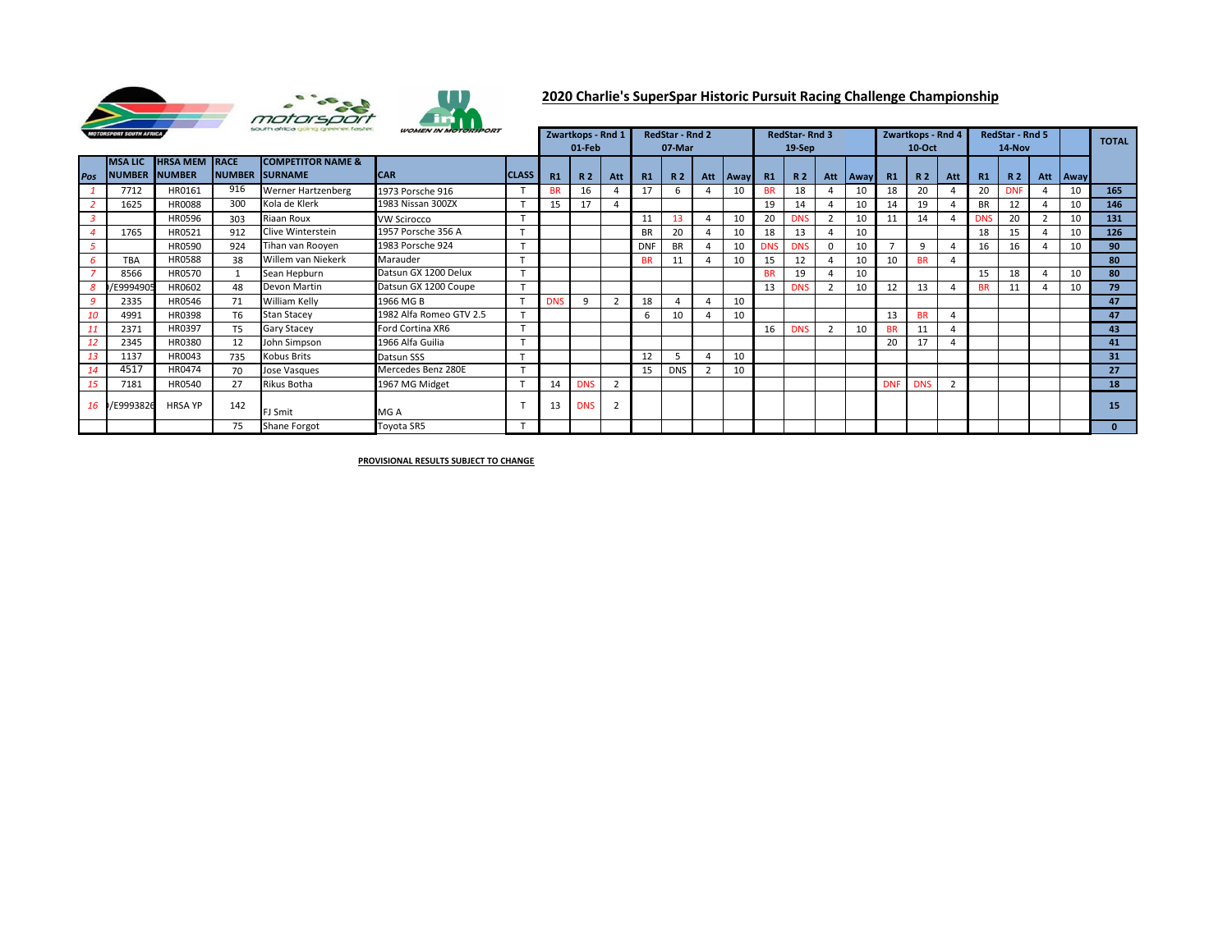

## **2020 Charlie's SuperSpar Historic Pursuit Racing Challenge Championship**

| south africa going greener, faster.<br><b>MOTORSPORT SOUTH AFRICA</b> |                                 |                                        |                | <b>WOMEN IN MOTORSPORT</b>                              |                         |                | Zwartkops - Rnd 1<br>$01$ -Feb |                |               | <b>RedStar - Rnd 2</b><br>07-Mar |                |                |            | <b>RedStar-Rnd 3</b><br>19-Sep |                |                |             | Zwartkops - Rnd 4<br>$10$ -Oct |            |                | <b>RedStar - Rnd 5</b><br>14-Nov |            |     | <b>TOTAL</b> |                 |
|-----------------------------------------------------------------------|---------------------------------|----------------------------------------|----------------|---------------------------------------------------------|-------------------------|----------------|--------------------------------|----------------|---------------|----------------------------------|----------------|----------------|------------|--------------------------------|----------------|----------------|-------------|--------------------------------|------------|----------------|----------------------------------|------------|-----|--------------|-----------------|
| Pos                                                                   | <b>MSALIC</b><br><b>INUMBER</b> | <b>HRSA MEM RACE</b><br><b>INUMBER</b> |                | <b>COMPETITOR NAME &amp;</b><br><b>INUMBER ISURNAME</b> | <b>CAR</b>              | <b>CLASS</b>   | R1                             | R <sub>2</sub> | <b>Att</b>    | R1                               | <b>R2</b>      |                | Att   Away | R1                             | R <sub>2</sub> | Att            | <b>Away</b> | R1                             | <b>R2</b>  | Att            | R1                               | <b>R2</b>  | Att | <b>Away</b>  |                 |
|                                                                       | 7712                            | HR0161                                 | 916            | Werner Hartzenberg                                      | 1973 Porsche 916        | $\mathbf \tau$ |                                | 16             |               | 17                               | 6              |                | 10         | <b>BR</b>                      | 18             |                | 10          | 18                             | 20         |                | 20                               | <b>DNF</b> | 4   | 10           | 165             |
|                                                                       | 1625                            | <b>HR0088</b>                          | 300            | Kola de Klerk                                           | 1983 Nissan 300ZX       | $\tau$         | 15                             | 17             |               |                                  |                |                |            | 19                             | 14             |                | 10          | 14                             | 19         |                | <b>BR</b>                        | 12         |     | 10           | 146             |
| 3                                                                     |                                 | HR0596                                 | 303            | Riaan Roux                                              | <b>VW Scirocco</b>      | $\mathbf \tau$ |                                |                |               | 11                               | 13             |                | 10         | 20                             | <b>DNS</b>     |                | 10          | 11                             | 14         |                | <b>DNS</b>                       | 20         |     | 10           | 131             |
|                                                                       | 1765                            | HR0521                                 | 912            | Clive Winterstein                                       | 1957 Porsche 356 A      |                |                                |                |               | <b>BR</b>                        | 20             |                | 10         | 18                             | 13             |                | 10          |                                |            |                | 18                               | 15         |     | 10           | 126             |
|                                                                       |                                 | HR0590                                 | 924            | Tihan van Rooyen                                        | 1983 Porsche 924        | $\mathbf{r}$   |                                |                |               | <b>DNF</b>                       | <b>BR</b>      |                | 10         | <b>DNS</b>                     | <b>DNS</b>     | $\Omega$       | 10          | <u>т</u>                       | $\Omega$   |                | 16                               | 16         |     | 10           | 90              |
|                                                                       | <b>TBA</b>                      | <b>HR0588</b>                          | 38             | Willem van Niekerk                                      | Marauder                |                |                                |                |               | <b>BR</b>                        | 11             |                | 10         | 15                             | 12             |                | 10          | 10                             | <b>BR</b>  |                |                                  |            |     |              | 80              |
|                                                                       | 8566                            | HR0570                                 |                | Sean Hepburn                                            | Datsun GX 1200 Delux    | $\mathbf$      |                                |                |               |                                  |                |                |            | <b>BR</b>                      | 19             |                | 10          |                                |            |                | 15                               | 18         | 4   | 10           | 80              |
|                                                                       | E999490                         | HR0602                                 | 48             | Devon Martin                                            | Datsun GX 1200 Coupe    | $\tau$         |                                |                |               |                                  |                |                |            | 13                             | <b>DNS</b>     |                | 10          | 12                             | 13         |                | <b>BR</b>                        | 11         |     | 10           | 79              |
|                                                                       | 2335                            | HR0546                                 | 71             | William Kelly                                           | 1966 MG B               |                | <b>DNS</b>                     |                |               | 18                               | $\overline{4}$ | 4              | 10         |                                |                |                |             |                                |            |                |                                  |            |     |              | 47              |
| 10                                                                    | 4991                            | HR0398                                 | T <sub>6</sub> | <b>Stan Stacey</b>                                      | 1982 Alfa Romeo GTV 2.5 | $\overline{ }$ |                                |                |               | 6                                | 10             |                | 10         |                                |                |                |             | 13                             | <b>BR</b>  |                |                                  |            |     |              | 47              |
|                                                                       | 2371                            | HR0397                                 | T <sub>5</sub> | Gary Stacey                                             | Ford Cortina XR6        | $\tau$         |                                |                |               |                                  |                |                |            | 16                             | <b>DNS</b>     | $\overline{2}$ | 10          | <b>BR</b>                      | 11         |                |                                  |            |     |              | 43              |
| 12                                                                    | 2345                            | HR0380                                 | 12             | John Simpson                                            | 1966 Alfa Guilia        |                |                                |                |               |                                  |                |                |            |                                |                |                |             | 20                             | 17         |                |                                  |            |     |              | 41              |
| 13                                                                    | 1137                            | HR0043                                 | 735            | Kobus Brits                                             | Datsun SSS              |                |                                |                |               | 12                               |                |                | 10         |                                |                |                |             |                                |            |                |                                  |            |     |              | 31              |
| 14                                                                    | 4517                            | HR0474                                 | 70             | Jose Vasques                                            | Mercedes Benz 280E      | $\mathbf{r}$   |                                |                |               | 15                               | <b>DNS</b>     | $\overline{2}$ | 10         |                                |                |                |             |                                |            |                |                                  |            |     |              | 27              |
| 15                                                                    | 7181                            | HR0540                                 | 27             | Rikus Botha                                             | 1967 MG Midget          |                | 14                             | <b>DNS</b>     | $\mathcal{L}$ |                                  |                |                |            |                                |                |                |             | <b>DNF</b>                     | <b>DNS</b> | $\overline{2}$ |                                  |            |     |              | 18              |
|                                                                       | 16 /E9993826                    | <b>HRSA YP</b>                         | 142            | FJ Smit                                                 | MG A                    |                | 13                             | <b>DNS</b>     |               |                                  |                |                |            |                                |                |                |             |                                |            |                |                                  |            |     |              | 15 <sub>1</sub> |
|                                                                       |                                 |                                        | 75             | Shane Forgot                                            | Toyota SR5              |                |                                |                |               |                                  |                |                |            |                                |                |                |             |                                |            |                |                                  |            |     |              | $\Omega$        |

**PROVISIONAL RESULTS SUBJECT TO CHANGE**